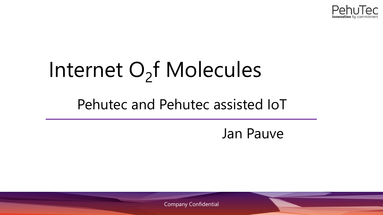

# Internet O<sub>2</sub>f Molecules

# Pehutec and Pehutec assisted IoT

# Jan Pauve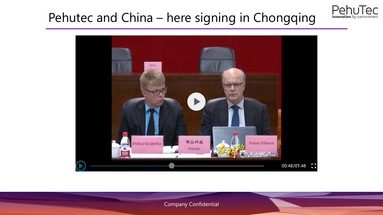# Pehutec and China - here signing in Chongqing



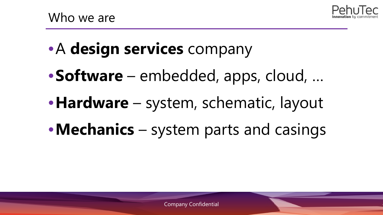

- •A **design services** company
- •**Software** embedded, apps, cloud, …
- •**Hardware** system, schematic, layout
- •**Mechanics** system parts and casings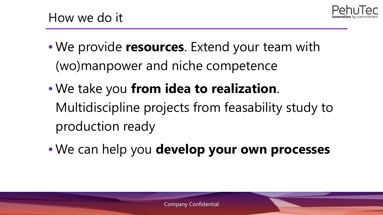

- We provide **resources**. Extend your team with (wo)manpower and niche competence
- We take you **from idea to realization**. Multidiscipline projects from feasability study to production ready
- We can help you **develop your own processes**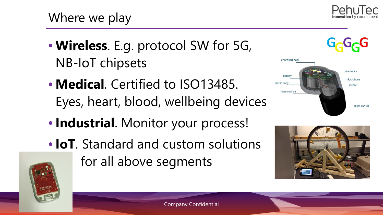

- **Wireless**. E.g. protocol SW for 5G, NB-IoT chipsets
- **Medical**. Certified to ISO13485. Eyes, heart, blood, wellbeing devices
- **Industrial**. Monitor your process!
- **IoT**. Standard and custom solutions for all above segments



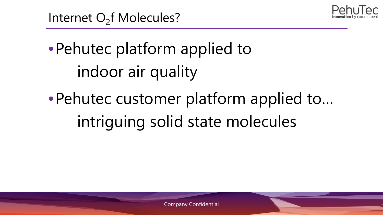

•Pehutec platform applied to indoor air quality

•Pehutec customer platform applied to… intriguing solid state molecules

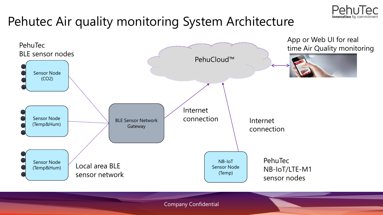

# Pehutec Air quality monitoring System Architecture

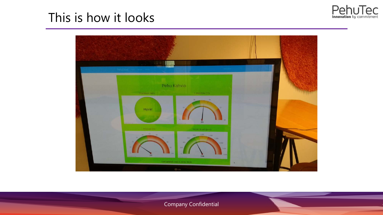

## This is how it looks



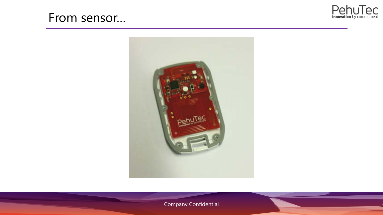#### From sensor...



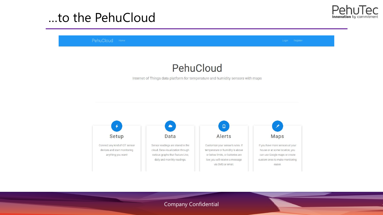### ...to the PehuCloud



PehuCloud Home

#### PehuCloud

Internet of Things data platform for temperature and humidity sensors with maps

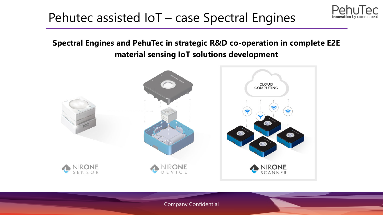#### Pehutec assisted IoT – case Spectral Engines

#### **Spectral Engines and PehuTec in strategic R&D co-operation in complete E2E material sensing IoT solutions development**

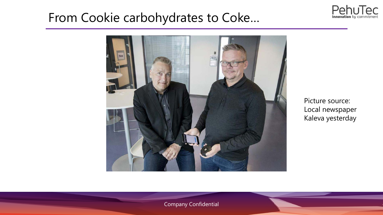# From Cookie carbohydrates to Coke…



Picture source: Local newspaper Kaleva yesterday

PehuTec